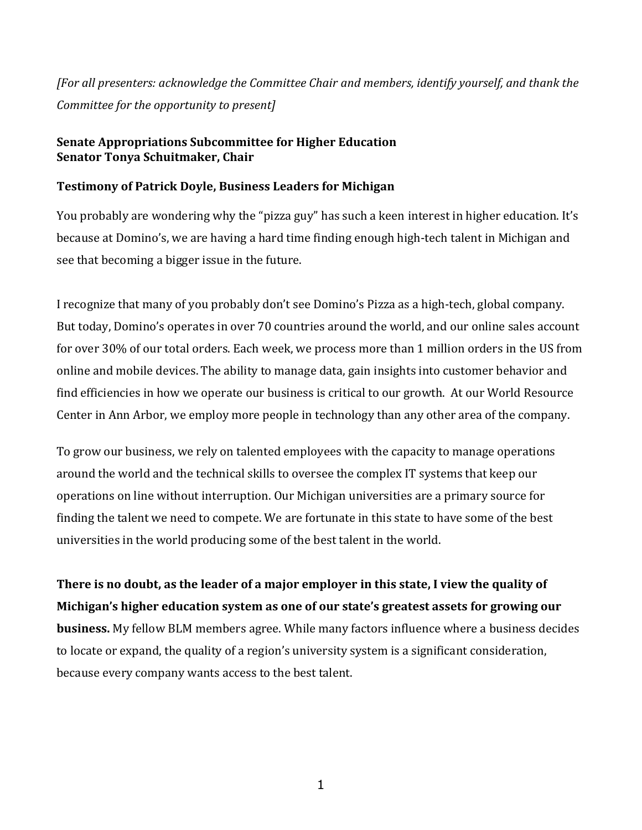*[For all presenters: acknowledge the Committee Chair and members, identify yourself, and thank the Committee for the opportunity to present]*

## **Senate Appropriations Subcommittee for Higher Education Senator Tonya Schuitmaker, Chair**

## **Testimony of Patrick Doyle, Business Leaders for Michigan**

You probably are wondering why the "pizza guy" has such a keen interest in higher education. It's because at Domino's, we are having a hard time finding enough high-tech talent in Michigan and see that becoming a bigger issue in the future.

I recognize that many of you probably don't see Domino's Pizza as a high-tech, global company. But today, Domino's operates in over 70 countries around the world, and our online sales account for over 30% of our total orders. Each week, we process more than 1 million orders in the US from online and mobile devices. The ability to manage data, gain insights into customer behavior and find efficiencies in how we operate our business is critical to our growth. At our World Resource Center in Ann Arbor, we employ more people in technology than any other area of the company.

To grow our business, we rely on talented employees with the capacity to manage operations around the world and the technical skills to oversee the complex IT systems that keep our operations on line without interruption. Our Michigan universities are a primary source for finding the talent we need to compete. We are fortunate in this state to have some of the best universities in the world producing some of the best talent in the world.

**There is no doubt, as the leader of a major employer in this state, I view the quality of Michigan's higher education system as one of our state's greatest assets for growing our business.** My fellow BLM members agree. While many factors influence where a business decides to locate or expand, the quality of a region's university system is a significant consideration, because every company wants access to the best talent.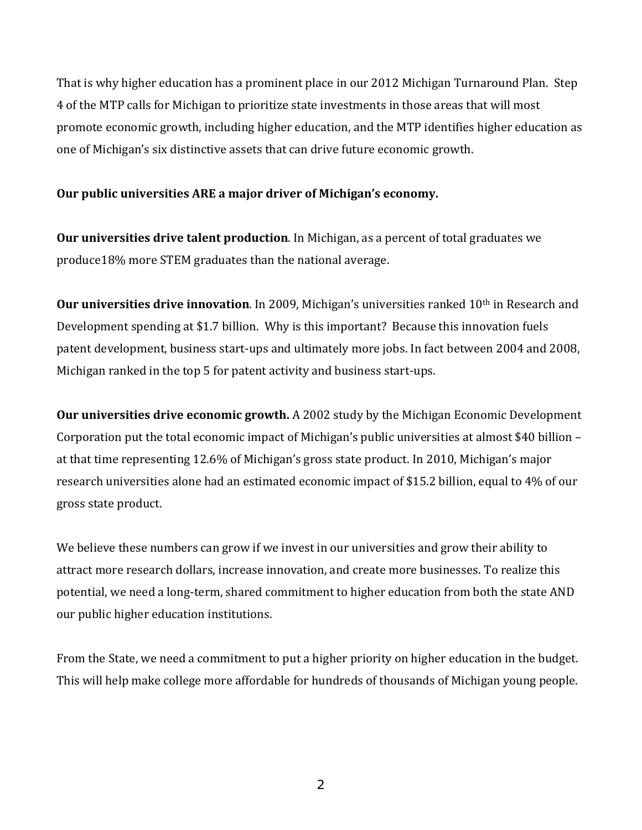That is why higher education has a prominent place in our 2012 Michigan Turnaround Plan. Step 4 of the MTP calls for Michigan to prioritize state investments in those areas that will most promote economic growth, including higher education, and the MTP identifies higher education as one of Michigan's six distinctive assets that can drive future economic growth.

## **Our public universities ARE a major driver of Michigan's economy.**

**Our universities drive talent production**. In Michigan, as a percent of total graduates we produce18% more STEM graduates than the national average.

**Our universities drive innovation**. In 2009, Michigan's universities ranked 10th in Research and Development spending at \$1.7 billion. Why is this important? Because this innovation fuels patent development, business start-ups and ultimately more jobs. In fact between 2004 and 2008, Michigan ranked in the top 5 for patent activity and business start-ups.

**Our universities drive economic growth.** A 2002 study by the Michigan Economic Development Corporation put the total economic impact of Michigan's public universities at almost \$40 billion – at that time representing 12.6% of Michigan's gross state product. In 2010, Michigan's major research universities alone had an estimated economic impact of \$15.2 billion, equal to 4% of our gross state product.

We believe these numbers can grow if we invest in our universities and grow their ability to attract more research dollars, increase innovation, and create more businesses. To realize this potential, we need a long-term, shared commitment to higher education from both the state AND our public higher education institutions.

From the State, we need a commitment to put a higher priority on higher education in the budget. This will help make college more affordable for hundreds of thousands of Michigan young people.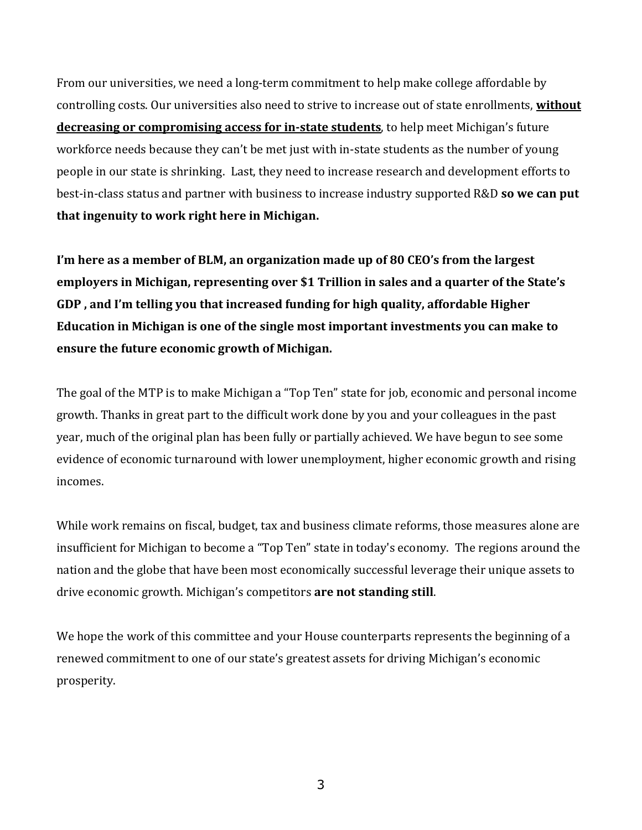From our universities, we need a long-term commitment to help make college affordable by controlling costs. Our universities also need to strive to increase out of state enrollments, **without decreasing or compromising access for in-state students**, to help meet Michigan's future workforce needs because they can't be met just with in-state students as the number of young people in our state is shrinking. Last, they need to increase research and development efforts to best-in-class status and partner with business to increase industry supported R&D **so we can put that ingenuity to work right here in Michigan.**

**I'm here as a member of BLM, an organization made up of 80 CEO's from the largest employers in Michigan, representing over \$1 Trillion in sales and a quarter of the State's GDP , and I'm telling you that increased funding for high quality, affordable Higher Education in Michigan is one of the single most important investments you can make to ensure the future economic growth of Michigan.**

The goal of the MTP is to make Michigan a "Top Ten" state for job, economic and personal income growth. Thanks in great part to the difficult work done by you and your colleagues in the past year, much of the original plan has been fully or partially achieved. We have begun to see some evidence of economic turnaround with lower unemployment, higher economic growth and rising incomes.

While work remains on fiscal, budget, tax and business climate reforms, those measures alone are insufficient for Michigan to become a "Top Ten" state in today's economy. The regions around the nation and the globe that have been most economically successful leverage their unique assets to drive economic growth. Michigan's competitors **are not standing still**.

We hope the work of this committee and your House counterparts represents the beginning of a renewed commitment to one of our state's greatest assets for driving Michigan's economic prosperity.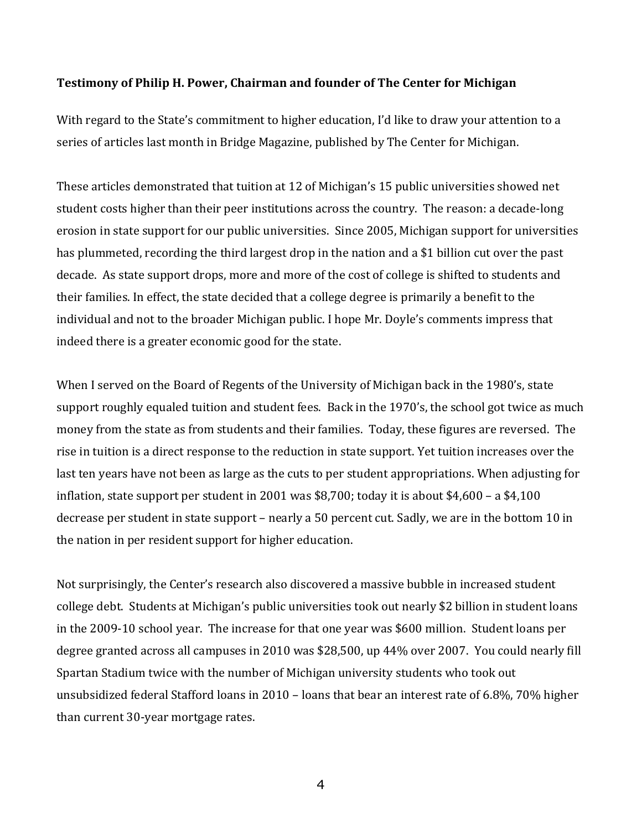#### **Testimony of Philip H. Power, Chairman and founder of The Center for Michigan**

With regard to the State's commitment to higher education, I'd like to draw your attention to a series of articles last month in Bridge Magazine, published by The Center for Michigan.

These articles demonstrated that tuition at 12 of Michigan's 15 public universities showed net student costs higher than their peer institutions across the country. The reason: a decade-long erosion in state support for our public universities. Since 2005, Michigan support for universities has plummeted, recording the third largest drop in the nation and a \$1 billion cut over the past decade. As state support drops, more and more of the cost of college is shifted to students and their families. In effect, the state decided that a college degree is primarily a benefit to the individual and not to the broader Michigan public. I hope Mr. Doyle's comments impress that indeed there is a greater economic good for the state.

When I served on the Board of Regents of the University of Michigan back in the 1980's, state support roughly equaled tuition and student fees. Back in the 1970's, the school got twice as much money from the state as from students and their families. Today, these figures are reversed. The rise in tuition is a direct response to the reduction in state support. Yet tuition increases over the last ten years have not been as large as the cuts to per student appropriations. When adjusting for inflation, state support per student in 2001 was \$8,700; today it is about \$4,600 – a \$4,100 decrease per student in state support – nearly a 50 percent cut. Sadly, we are in the bottom 10 in the nation in per resident support for higher education.

Not surprisingly, the Center's research also discovered a massive bubble in increased student college debt. Students at Michigan's public universities took out nearly \$2 billion in student loans in the 2009-10 school year. The increase for that one year was \$600 million. Student loans per degree granted across all campuses in 2010 was \$28,500, up 44% over 2007. You could nearly fill Spartan Stadium twice with the number of Michigan university students who took out unsubsidized federal Stafford loans in 2010 – loans that bear an interest rate of 6.8%, 70% higher than current 30-year mortgage rates.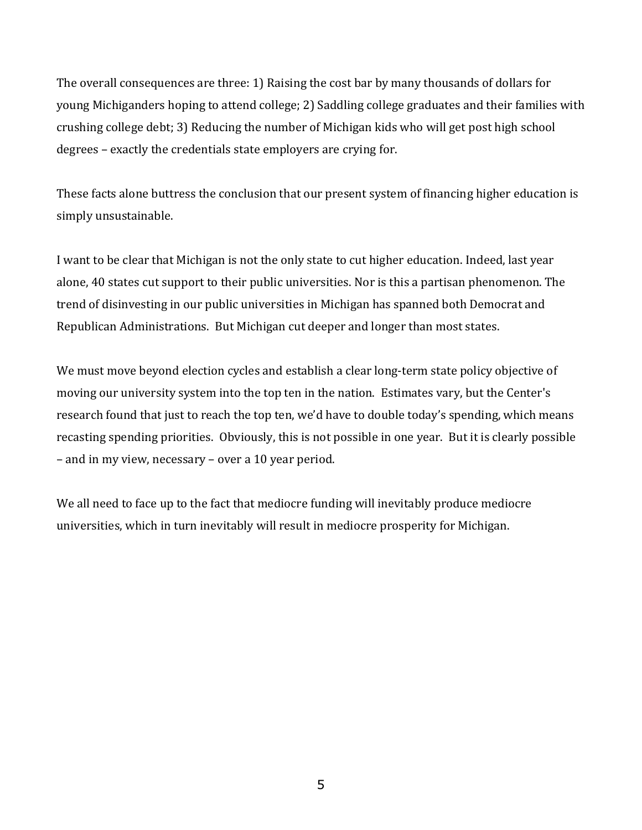The overall consequences are three: 1) Raising the cost bar by many thousands of dollars for young Michiganders hoping to attend college; 2) Saddling college graduates and their families with crushing college debt; 3) Reducing the number of Michigan kids who will get post high school degrees – exactly the credentials state employers are crying for.

These facts alone buttress the conclusion that our present system of financing higher education is simply unsustainable.

I want to be clear that Michigan is not the only state to cut higher education. Indeed, last year alone, 40 states cut support to their public universities. Nor is this a partisan phenomenon. The trend of disinvesting in our public universities in Michigan has spanned both Democrat and Republican Administrations. But Michigan cut deeper and longer than most states.

We must move beyond election cycles and establish a clear long-term state policy objective of moving our university system into the top ten in the nation. Estimates vary, but the Center's research found that just to reach the top ten, we'd have to double today's spending, which means recasting spending priorities. Obviously, this is not possible in one year. But it is clearly possible – and in my view, necessary – over a 10 year period.

We all need to face up to the fact that mediocre funding will inevitably produce mediocre universities, which in turn inevitably will result in mediocre prosperity for Michigan.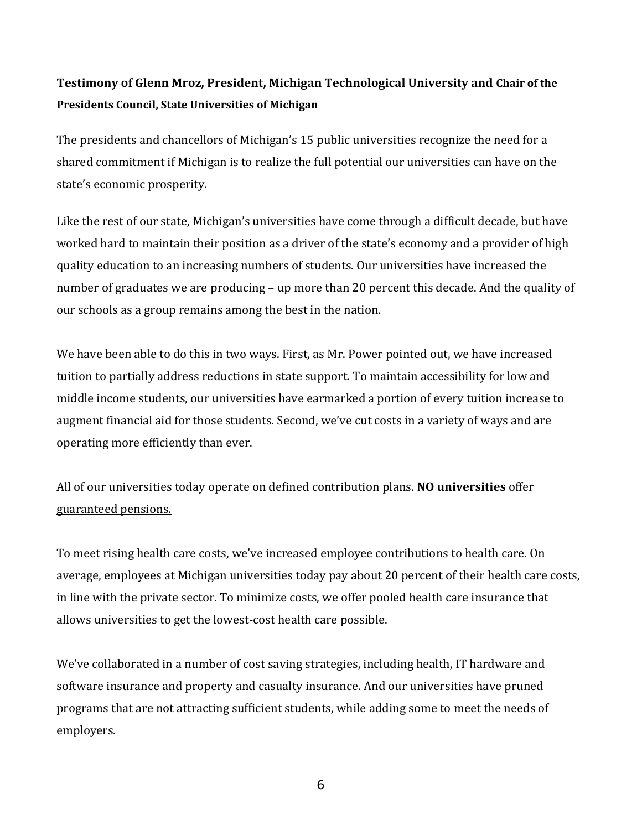# **Testimony of Glenn Mroz, President, Michigan Technological University and Chair of the Presidents Council, State Universities of Michigan**

The presidents and chancellors of Michigan's 15 public universities recognize the need for a shared commitment if Michigan is to realize the full potential our universities can have on the state's economic prosperity.

Like the rest of our state, Michigan's universities have come through a difficult decade, but have worked hard to maintain their position as a driver of the state's economy and a provider of high quality education to an increasing numbers of students. Our universities have increased the number of graduates we are producing – up more than 20 percent this decade. And the quality of our schools as a group remains among the best in the nation.

We have been able to do this in two ways. First, as Mr. Power pointed out, we have increased tuition to partially address reductions in state support. To maintain accessibility for low and middle income students, our universities have earmarked a portion of every tuition increase to augment financial aid for those students. Second, we've cut costs in a variety of ways and are operating more efficiently than ever.

All of our universities today operate on defined contribution plans. **NO universities** offer guaranteed pensions.

To meet rising health care costs, we've increased employee contributions to health care. On average, employees at Michigan universities today pay about 20 percent of their health care costs, in line with the private sector. To minimize costs, we offer pooled health care insurance that allows universities to get the lowest-cost health care possible.

We've collaborated in a number of cost saving strategies, including health, IT hardware and software insurance and property and casualty insurance. And our universities have pruned programs that are not attracting sufficient students, while adding some to meet the needs of employers.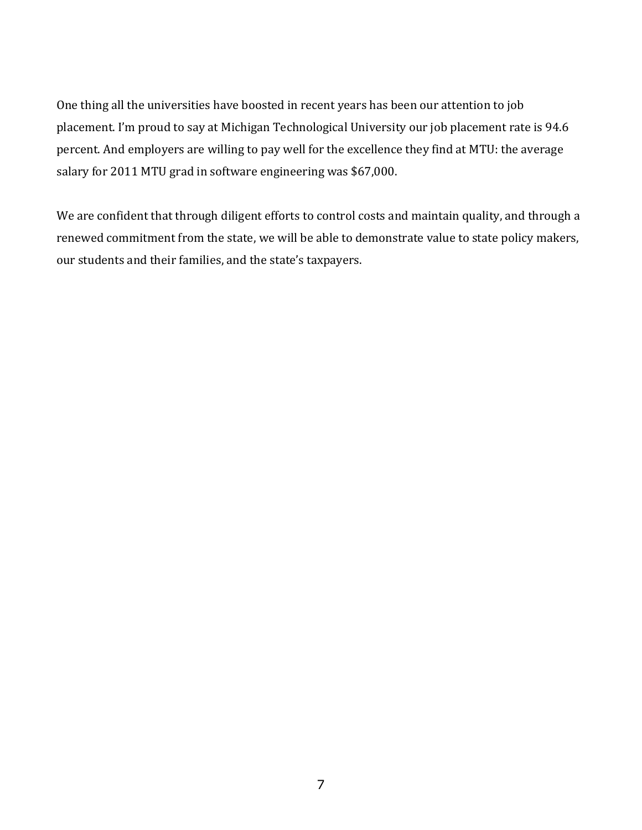One thing all the universities have boosted in recent years has been our attention to job placement. I'm proud to say at Michigan Technological University our job placement rate is 94.6 percent. And employers are willing to pay well for the excellence they find at MTU: the average salary for 2011 MTU grad in software engineering was \$67,000.

We are confident that through diligent efforts to control costs and maintain quality, and through a renewed commitment from the state, we will be able to demonstrate value to state policy makers, our students and their families, and the state's taxpayers.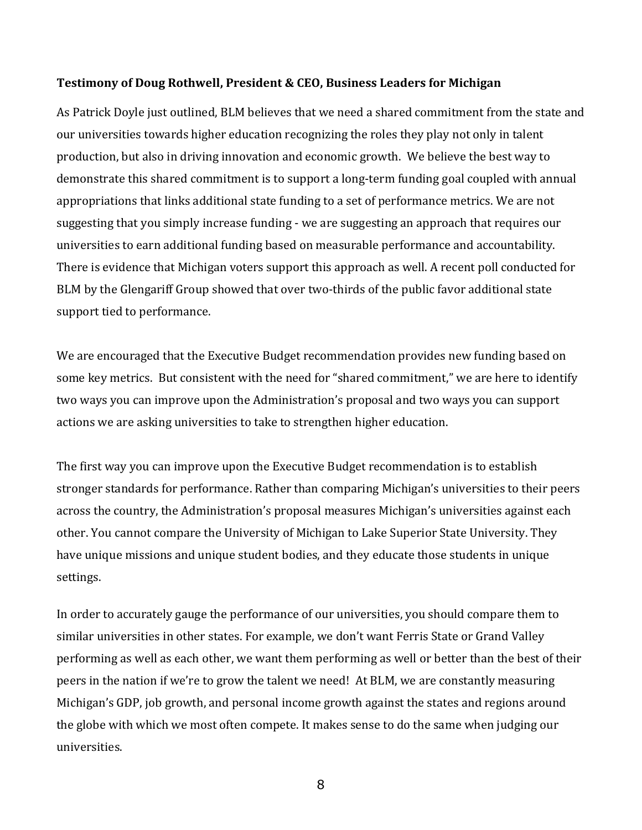### **Testimony of Doug Rothwell, President & CEO, Business Leaders for Michigan**

As Patrick Doyle just outlined, BLM believes that we need a shared commitment from the state and our universities towards higher education recognizing the roles they play not only in talent production, but also in driving innovation and economic growth. We believe the best way to demonstrate this shared commitment is to support a long-term funding goal coupled with annual appropriations that links additional state funding to a set of performance metrics. We are not suggesting that you simply increase funding - we are suggesting an approach that requires our universities to earn additional funding based on measurable performance and accountability. There is evidence that Michigan voters support this approach as well. A recent poll conducted for BLM by the Glengariff Group showed that over two-thirds of the public favor additional state support tied to performance.

We are encouraged that the Executive Budget recommendation provides new funding based on some key metrics. But consistent with the need for "shared commitment," we are here to identify two ways you can improve upon the Administration's proposal and two ways you can support actions we are asking universities to take to strengthen higher education.

The first way you can improve upon the Executive Budget recommendation is to establish stronger standards for performance. Rather than comparing Michigan's universities to their peers across the country, the Administration's proposal measures Michigan's universities against each other. You cannot compare the University of Michigan to Lake Superior State University. They have unique missions and unique student bodies, and they educate those students in unique settings.

In order to accurately gauge the performance of our universities, you should compare them to similar universities in other states. For example, we don't want Ferris State or Grand Valley performing as well as each other, we want them performing as well or better than the best of their peers in the nation if we're to grow the talent we need! At BLM, we are constantly measuring Michigan's GDP, job growth, and personal income growth against the states and regions around the globe with which we most often compete. It makes sense to do the same when judging our universities.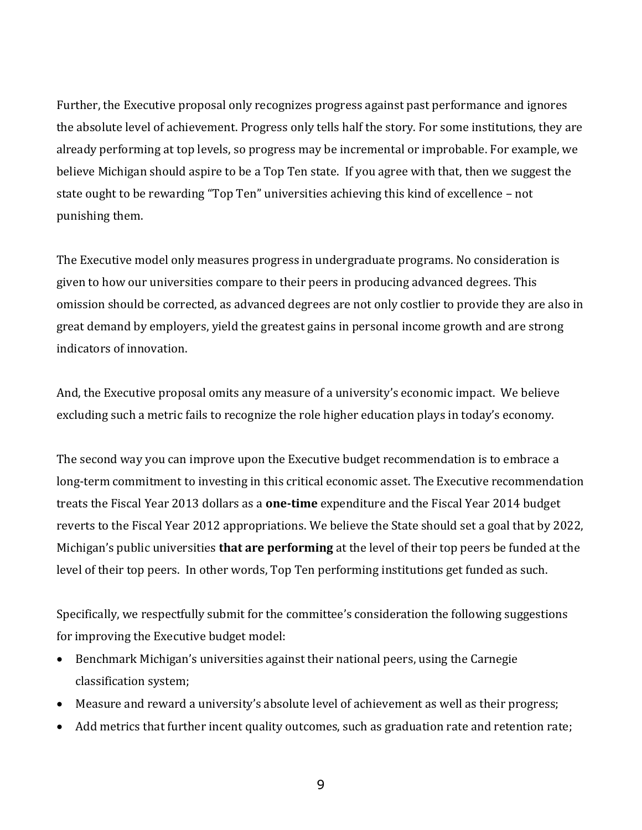Further, the Executive proposal only recognizes progress against past performance and ignores the absolute level of achievement. Progress only tells half the story. For some institutions, they are already performing at top levels, so progress may be incremental or improbable. For example, we believe Michigan should aspire to be a Top Ten state. If you agree with that, then we suggest the state ought to be rewarding "Top Ten" universities achieving this kind of excellence – not punishing them.

The Executive model only measures progress in undergraduate programs. No consideration is given to how our universities compare to their peers in producing advanced degrees. This omission should be corrected, as advanced degrees are not only costlier to provide they are also in great demand by employers, yield the greatest gains in personal income growth and are strong indicators of innovation.

And, the Executive proposal omits any measure of a university's economic impact. We believe excluding such a metric fails to recognize the role higher education plays in today's economy.

The second way you can improve upon the Executive budget recommendation is to embrace a long-term commitment to investing in this critical economic asset. The Executive recommendation treats the Fiscal Year 2013 dollars as a **one-time** expenditure and the Fiscal Year 2014 budget reverts to the Fiscal Year 2012 appropriations. We believe the State should set a goal that by 2022, Michigan's public universities **that are performing** at the level of their top peers be funded at the level of their top peers. In other words, Top Ten performing institutions get funded as such.

Specifically, we respectfully submit for the committee's consideration the following suggestions for improving the Executive budget model:

- Benchmark Michigan's universities against their national peers, using the Carnegie classification system;
- Measure and reward a university's absolute level of achievement as well as their progress;
- Add metrics that further incent quality outcomes, such as graduation rate and retention rate;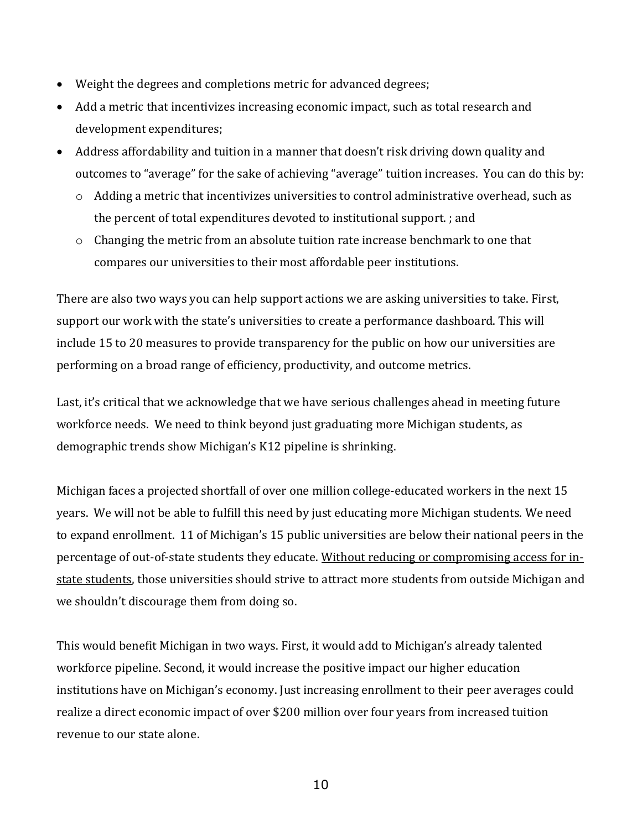- Weight the degrees and completions metric for advanced degrees;
- Add a metric that incentivizes increasing economic impact, such as total research and development expenditures;
- Address affordability and tuition in a manner that doesn't risk driving down quality and outcomes to "average" for the sake of achieving "average" tuition increases. You can do this by:
	- o Adding a metric that incentivizes universities to control administrative overhead, such as the percent of total expenditures devoted to institutional support. ; and
	- $\circ$  Changing the metric from an absolute tuition rate increase benchmark to one that compares our universities to their most affordable peer institutions.

There are also two ways you can help support actions we are asking universities to take. First, support our work with the state's universities to create a performance dashboard. This will include 15 to 20 measures to provide transparency for the public on how our universities are performing on a broad range of efficiency, productivity, and outcome metrics.

Last, it's critical that we acknowledge that we have serious challenges ahead in meeting future workforce needs. We need to think beyond just graduating more Michigan students, as demographic trends show Michigan's K12 pipeline is shrinking.

Michigan faces a projected shortfall of over one million college-educated workers in the next 15 years. We will not be able to fulfill this need by just educating more Michigan students. We need to expand enrollment. 11 of Michigan's 15 public universities are below their national peers in the percentage of out-of-state students they educate. Without reducing or compromising access for instate students, those universities should strive to attract more students from outside Michigan and we shouldn't discourage them from doing so.

This would benefit Michigan in two ways. First, it would add to Michigan's already talented workforce pipeline. Second, it would increase the positive impact our higher education institutions have on Michigan's economy. Just increasing enrollment to their peer averages could realize a direct economic impact of over \$200 million over four years from increased tuition revenue to our state alone.